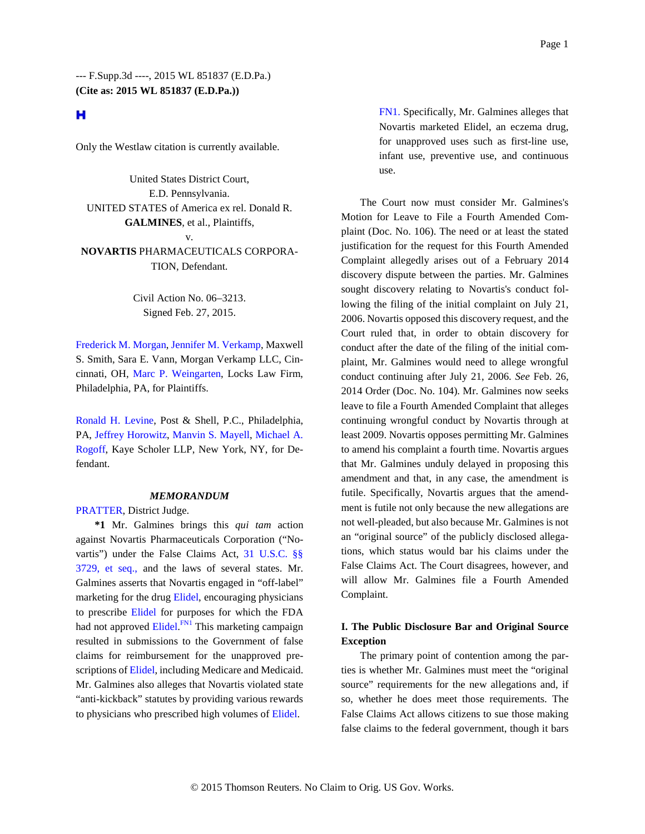### н

Only the Westlaw citation is currently available.

United States District Court, E.D. Pennsylvania. UNITED STATES of America ex rel. Donald R. **GALMINES**, et al., Plaintiffs, v. **NOVARTIS** PHARMACEUTICALS CORPORA-TION, Defendant.

> Civil Action No. 06–3213. Signed Feb. 27, 2015.

Frederick M. Morgan, Jennifer M. Verkamp, Maxwell S. Smith, Sara E. Vann, Morgan Verkamp LLC, Cincinnati, OH, Marc P. Weingarten, Locks Law Firm, Philadelphia, PA, for Plaintiffs.

Ronald H. Levine, Post & Shell, P.C., Philadelphia, PA, Jeffrey Horowitz, Manvin S. Mayell, Michael A. Rogoff, Kaye Scholer LLP, New York, NY, for Defendant.

#### *MEMORANDUM*

PRATTER, District Judge.

**\*1** Mr. Galmines brings this *qui tam* action against Novartis Pharmaceuticals Corporation ("Novartis") under the False Claims Act, 31 U.S.C. §§ 3729, et seq., and the laws of several states. Mr. Galmines asserts that Novartis engaged in "off-label" marketing for the drug Elidel, encouraging physicians to prescribe Elidel for purposes for which the FDA had not approved Elidel.<sup>FN1</sup> This marketing campaign resulted in submissions to the Government of false claims for reimbursement for the unapproved prescriptions of Elidel, including Medicare and Medicaid. Mr. Galmines also alleges that Novartis violated state "anti-kickback" statutes by providing various rewards to physicians who prescribed high volumes of Elidel.

FN1. Specifically, Mr. Galmines alleges that Novartis marketed Elidel, an eczema drug, for unapproved uses such as first-line use, infant use, preventive use, and continuous use.

The Court now must consider Mr. Galmines's Motion for Leave to File a Fourth Amended Complaint (Doc. No. 106). The need or at least the stated justification for the request for this Fourth Amended Complaint allegedly arises out of a February 2014 discovery dispute between the parties. Mr. Galmines sought discovery relating to Novartis's conduct following the filing of the initial complaint on July 21, 2006. Novartis opposed this discovery request, and the Court ruled that, in order to obtain discovery for conduct after the date of the filing of the initial complaint, Mr. Galmines would need to allege wrongful conduct continuing after July 21, 2006. *See* Feb. 26, 2014 Order (Doc. No. 104). Mr. Galmines now seeks leave to file a Fourth Amended Complaint that alleges continuing wrongful conduct by Novartis through at least 2009. Novartis opposes permitting Mr. Galmines to amend his complaint a fourth time. Novartis argues that Mr. Galmines unduly delayed in proposing this amendment and that, in any case, the amendment is futile. Specifically, Novartis argues that the amendment is futile not only because the new allegations are not well-pleaded, but also because Mr. Galmines is not an "original source" of the publicly disclosed allegations, which status would bar his claims under the False Claims Act. The Court disagrees, however, and will allow Mr. Galmines file a Fourth Amended Complaint.

#### **I. The Public Disclosure Bar and Original Source Exception**

The primary point of contention among the parties is whether Mr. Galmines must meet the "original source" requirements for the new allegations and, if so, whether he does meet those requirements. The False Claims Act allows citizens to sue those making false claims to the federal government, though it bars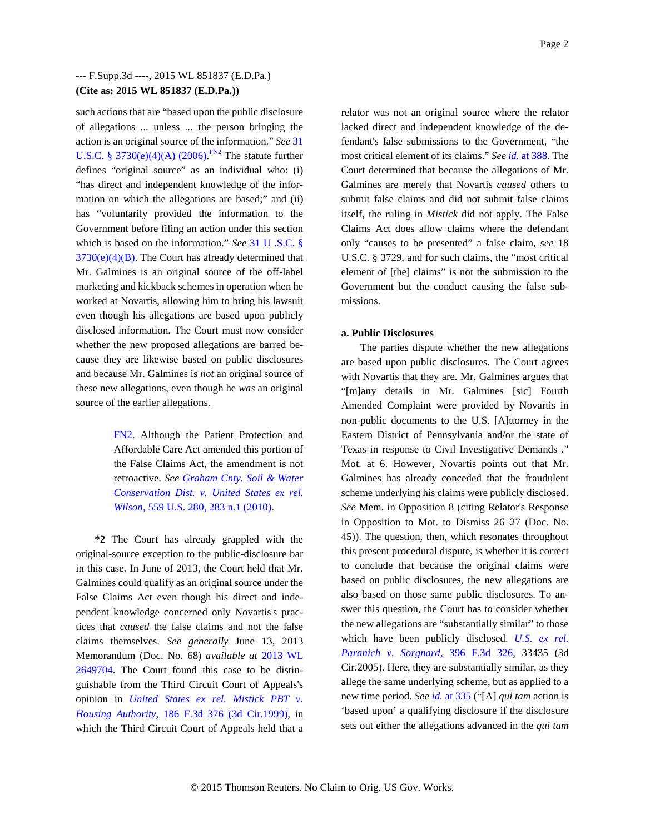such actions that are "based upon the public disclosure of allegations ... unless ... the person bringing the action is an original source of the information." *See* 31 U.S.C. § 3730(e)(4)(A) (2006).<sup>FN2</sup> The statute further defines "original source" as an individual who: (i) "has direct and independent knowledge of the information on which the allegations are based;" and (ii) has "voluntarily provided the information to the Government before filing an action under this section which is based on the information." *See* 31 U .S.C. §  $3730(e)(4)(B)$ . The Court has already determined that Mr. Galmines is an original source of the off-label marketing and kickback schemes in operation when he worked at Novartis, allowing him to bring his lawsuit even though his allegations are based upon publicly disclosed information. The Court must now consider whether the new proposed allegations are barred because they are likewise based on public disclosures and because Mr. Galmines is *not* an original source of these new allegations, even though he *was* an original source of the earlier allegations.

> FN2. Although the Patient Protection and Affordable Care Act amended this portion of the False Claims Act, the amendment is not retroactive. *See Graham Cnty. Soil & Water Conservation Dist. v. United States ex rel. Wilson,* 559 U.S. 280, 283 n.1 (2010).

**\*2** The Court has already grappled with the original-source exception to the public-disclosure bar in this case. In June of 2013, the Court held that Mr. Galmines could qualify as an original source under the False Claims Act even though his direct and independent knowledge concerned only Novartis's practices that *caused* the false claims and not the false claims themselves. *See generally* June 13, 2013 Memorandum (Doc. No. 68) *available at* 2013 WL 2649704. The Court found this case to be distinguishable from the Third Circuit Court of Appeals's opinion in *United States ex rel. Mistick PBT v. Housing Authority,* 186 F.3d 376 (3d Cir.1999), in which the Third Circuit Court of Appeals held that a relator was not an original source where the relator lacked direct and independent knowledge of the defendant's false submissions to the Government, "the most critical element of its claims." *See id.* at 388. The Court determined that because the allegations of Mr. Galmines are merely that Novartis *caused* others to submit false claims and did not submit false claims itself, the ruling in *Mistick* did not apply. The False Claims Act does allow claims where the defendant only "causes to be presented" a false claim, *see* 18 U.S.C. § 3729, and for such claims, the "most critical element of [the] claims" is not the submission to the Government but the conduct causing the false submissions.

#### **a. Public Disclosures**

The parties dispute whether the new allegations are based upon public disclosures. The Court agrees with Novartis that they are. Mr. Galmines argues that "[m]any details in Mr. Galmines [sic] Fourth Amended Complaint were provided by Novartis in non-public documents to the U.S. [A]ttorney in the Eastern District of Pennsylvania and/or the state of Texas in response to Civil Investigative Demands ." Mot. at 6. However, Novartis points out that Mr. Galmines has already conceded that the fraudulent scheme underlying his claims were publicly disclosed. *See* Mem. in Opposition 8 (citing Relator's Response in Opposition to Mot. to Dismiss 26–27 (Doc. No. 45)). The question, then, which resonates throughout this present procedural dispute, is whether it is correct to conclude that because the original claims were based on public disclosures, the new allegations are also based on those same public disclosures. To answer this question, the Court has to consider whether the new allegations are "substantially similar" to those which have been publicly disclosed. *U.S. ex rel. Paranich v. Sorgnard,* 396 F.3d 326, 33435 (3d Cir.2005). Here, they are substantially similar, as they allege the same underlying scheme, but as applied to a new time period. *See id.* at 335 ("[A] *qui tam* action is 'based upon' a qualifying disclosure if the disclosure sets out either the allegations advanced in the *qui tam*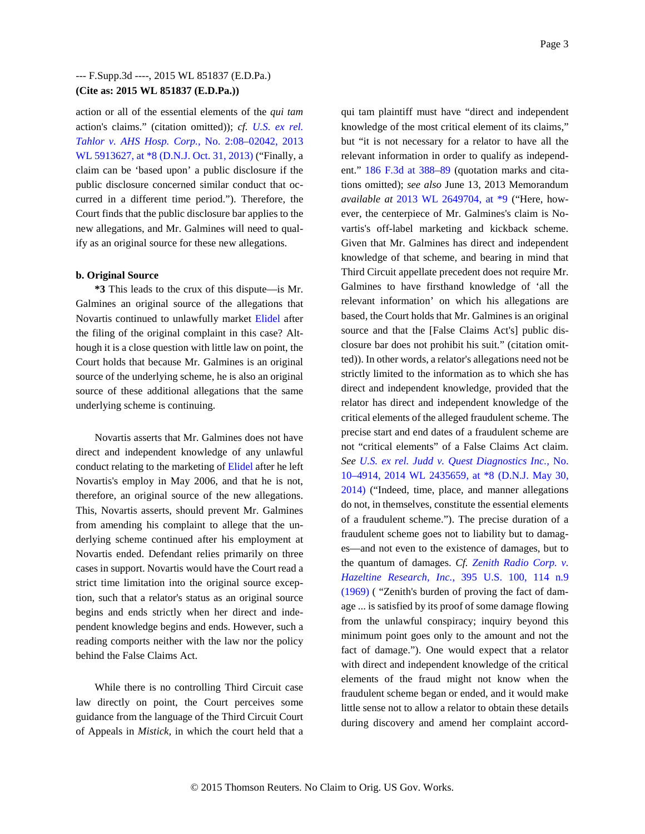action or all of the essential elements of the *qui tam* action's claims." (citation omitted)); *cf. U.S. ex rel. Tahlor v. AHS Hosp. Corp.,* No. 2:08–02042, 2013 WL 5913627, at \*8 (D.N.J. Oct. 31, 2013) ("Finally, a claim can be 'based upon' a public disclosure if the public disclosure concerned similar conduct that occurred in a different time period."). Therefore, the Court finds that the public disclosure bar applies to the new allegations, and Mr. Galmines will need to qualify as an original source for these new allegations.

#### **b. Original Source**

**\*3** This leads to the crux of this dispute—is Mr. Galmines an original source of the allegations that Novartis continued to unlawfully market Elidel after the filing of the original complaint in this case? Although it is a close question with little law on point, the Court holds that because Mr. Galmines is an original source of the underlying scheme, he is also an original source of these additional allegations that the same underlying scheme is continuing.

Novartis asserts that Mr. Galmines does not have direct and independent knowledge of any unlawful conduct relating to the marketing of Elidel after he left Novartis's employ in May 2006, and that he is not, therefore, an original source of the new allegations. This, Novartis asserts, should prevent Mr. Galmines from amending his complaint to allege that the underlying scheme continued after his employment at Novartis ended. Defendant relies primarily on three cases in support. Novartis would have the Court read a strict time limitation into the original source exception, such that a relator's status as an original source begins and ends strictly when her direct and independent knowledge begins and ends. However, such a reading comports neither with the law nor the policy behind the False Claims Act.

While there is no controlling Third Circuit case law directly on point, the Court perceives some guidance from the language of the Third Circuit Court of Appeals in *Mistick,* in which the court held that a

qui tam plaintiff must have "direct and independent knowledge of the most critical element of its claims," but "it is not necessary for a relator to have all the relevant information in order to qualify as independent." 186 F.3d at 388–89 (quotation marks and citations omitted); *see also* June 13, 2013 Memorandum *available at* 2013 WL 2649704, at \*9 ("Here, however, the centerpiece of Mr. Galmines's claim is Novartis's off-label marketing and kickback scheme. Given that Mr. Galmines has direct and independent knowledge of that scheme, and bearing in mind that Third Circuit appellate precedent does not require Mr. Galmines to have firsthand knowledge of 'all the relevant information' on which his allegations are based, the Court holds that Mr. Galmines is an original source and that the [False Claims Act's] public disclosure bar does not prohibit his suit." (citation omitted)). In other words, a relator's allegations need not be strictly limited to the information as to which she has direct and independent knowledge, provided that the relator has direct and independent knowledge of the critical elements of the alleged fraudulent scheme. The precise start and end dates of a fraudulent scheme are not "critical elements" of a False Claims Act claim. *See U.S. ex rel. Judd v. Quest Diagnostics Inc.,* No. 10–4914, 2014 WL 2435659, at \*8 (D.N.J. May 30, 2014) ("Indeed, time, place, and manner allegations do not, in themselves, constitute the essential elements of a fraudulent scheme."). The precise duration of a fraudulent scheme goes not to liability but to damages—and not even to the existence of damages, but to the quantum of damages. *Cf. Zenith Radio Corp. v. Hazeltine Research, Inc.,* 395 U.S. 100, 114 n.9 (1969) ( "Zenith's burden of proving the fact of damage ... is satisfied by its proof of some damage flowing from the unlawful conspiracy; inquiry beyond this minimum point goes only to the amount and not the fact of damage."). One would expect that a relator with direct and independent knowledge of the critical elements of the fraud might not know when the fraudulent scheme began or ended, and it would make little sense not to allow a relator to obtain these details during discovery and amend her complaint accord-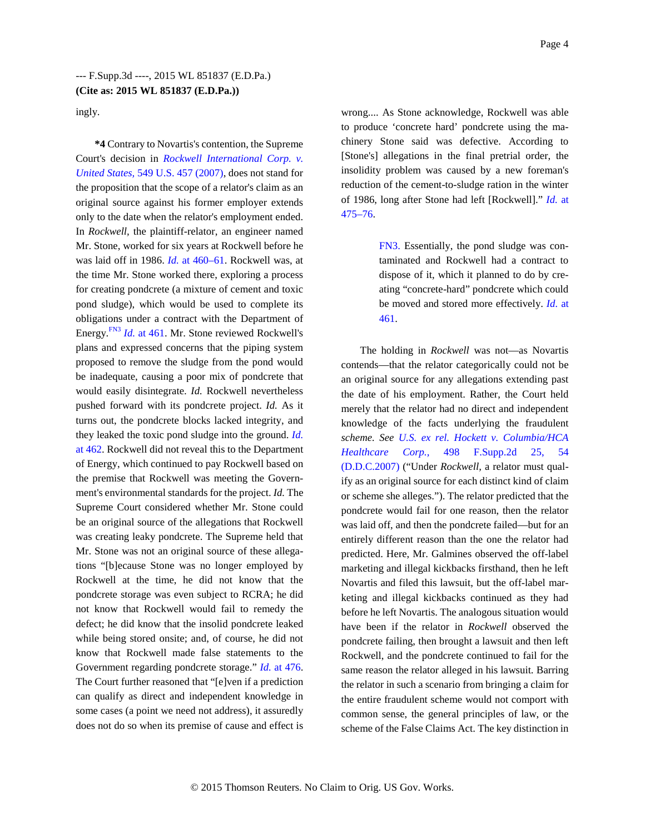ingly.

**\*4** Contrary to Novartis's contention, the Supreme Court's decision in *Rockwell International Corp. v. United States,* 549 U.S. 457 (2007), does not stand for the proposition that the scope of a relator's claim as an original source against his former employer extends only to the date when the relator's employment ended. In *Rockwell,* the plaintiff-relator, an engineer named Mr. Stone, worked for six years at Rockwell before he was laid off in 1986. *Id.* at 460–61. Rockwell was, at the time Mr. Stone worked there, exploring a process for creating pondcrete (a mixture of cement and toxic pond sludge), which would be used to complete its obligations under a contract with the Department of Energy.FN3 *Id.* at 461. Mr. Stone reviewed Rockwell's plans and expressed concerns that the piping system proposed to remove the sludge from the pond would be inadequate, causing a poor mix of pondcrete that would easily disintegrate. *Id.* Rockwell nevertheless pushed forward with its pondcrete project. *Id.* As it turns out, the pondcrete blocks lacked integrity, and they leaked the toxic pond sludge into the ground. *Id.* at 462. Rockwell did not reveal this to the Department of Energy, which continued to pay Rockwell based on the premise that Rockwell was meeting the Government's environmental standards for the project. *Id.* The Supreme Court considered whether Mr. Stone could be an original source of the allegations that Rockwell was creating leaky pondcrete. The Supreme held that Mr. Stone was not an original source of these allegations "[b]ecause Stone was no longer employed by Rockwell at the time, he did not know that the pondcrete storage was even subject to RCRA; he did not know that Rockwell would fail to remedy the defect; he did know that the insolid pondcrete leaked while being stored onsite; and, of course, he did not know that Rockwell made false statements to the Government regarding pondcrete storage." *Id.* at 476. The Court further reasoned that "[e]ven if a prediction can qualify as direct and independent knowledge in some cases (a point we need not address), it assuredly does not do so when its premise of cause and effect is

wrong.... As Stone acknowledge, Rockwell was able to produce 'concrete hard' pondcrete using the machinery Stone said was defective. According to [Stone's] allegations in the final pretrial order, the insolidity problem was caused by a new foreman's reduction of the cement-to-sludge ration in the winter of 1986, long after Stone had left [Rockwell]." *Id.* at 475–76.

> FN3. Essentially, the pond sludge was contaminated and Rockwell had a contract to dispose of it, which it planned to do by creating "concrete-hard" pondcrete which could be moved and stored more effectively. *Id.* at 461.

The holding in *Rockwell* was not—as Novartis contends—that the relator categorically could not be an original source for any allegations extending past the date of his employment. Rather, the Court held merely that the relator had no direct and independent knowledge of the facts underlying the fraudulent *scheme. See U.S. ex rel. Hockett v. Columbia/HCA Healthcare Corp.,* 498 F.Supp.2d 25, 54 (D.D.C.2007) ("Under *Rockwell,* a relator must qualify as an original source for each distinct kind of claim or scheme she alleges."). The relator predicted that the pondcrete would fail for one reason, then the relator was laid off, and then the pondcrete failed—but for an entirely different reason than the one the relator had predicted. Here, Mr. Galmines observed the off-label marketing and illegal kickbacks firsthand, then he left Novartis and filed this lawsuit, but the off-label marketing and illegal kickbacks continued as they had before he left Novartis. The analogous situation would have been if the relator in *Rockwell* observed the pondcrete failing, then brought a lawsuit and then left Rockwell, and the pondcrete continued to fail for the same reason the relator alleged in his lawsuit. Barring the relator in such a scenario from bringing a claim for the entire fraudulent scheme would not comport with common sense, the general principles of law, or the scheme of the False Claims Act. The key distinction in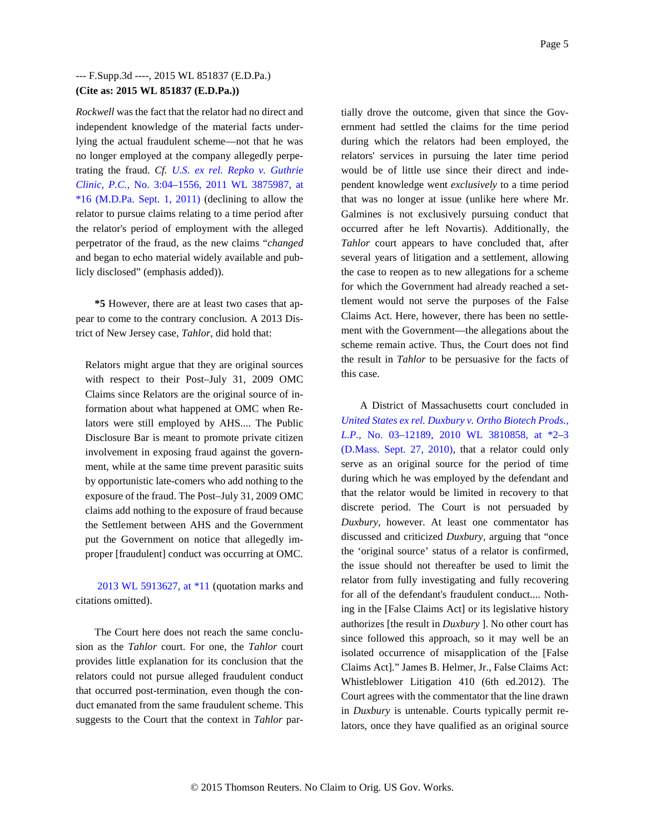*Rockwell* was the fact that the relator had no direct and independent knowledge of the material facts underlying the actual fraudulent scheme—not that he was no longer employed at the company allegedly perpetrating the fraud. *Cf. U.S. ex rel. Repko v. Guthrie Clinic, P.C.,* No. 3:04–1556, 2011 WL 3875987, at  $*16$  (M.D.Pa. Sept. 1, 2011) (declining to allow the relator to pursue claims relating to a time period after the relator's period of employment with the alleged perpetrator of the fraud, as the new claims "*changed* and began to echo material widely available and publicly disclosed" (emphasis added)).

**\*5** However, there are at least two cases that appear to come to the contrary conclusion. A 2013 District of New Jersey case, *Tahlor,* did hold that:

Relators might argue that they are original sources with respect to their Post–July 31, 2009 OMC Claims since Relators are the original source of information about what happened at OMC when Relators were still employed by AHS.... The Public Disclosure Bar is meant to promote private citizen involvement in exposing fraud against the government, while at the same time prevent parasitic suits by opportunistic late-comers who add nothing to the exposure of the fraud. The Post–July 31, 2009 OMC claims add nothing to the exposure of fraud because the Settlement between AHS and the Government put the Government on notice that allegedly improper [fraudulent] conduct was occurring at OMC.

2013 WL 5913627, at \*11 (quotation marks and citations omitted).

The Court here does not reach the same conclusion as the *Tahlor* court. For one, the *Tahlor* court provides little explanation for its conclusion that the relators could not pursue alleged fraudulent conduct that occurred post-termination, even though the conduct emanated from the same fraudulent scheme. This suggests to the Court that the context in *Tahlor* partially drove the outcome, given that since the Government had settled the claims for the time period during which the relators had been employed, the relators' services in pursuing the later time period would be of little use since their direct and independent knowledge went *exclusively* to a time period that was no longer at issue (unlike here where Mr. Galmines is not exclusively pursuing conduct that occurred after he left Novartis). Additionally, the *Tahlor* court appears to have concluded that, after several years of litigation and a settlement, allowing the case to reopen as to new allegations for a scheme for which the Government had already reached a settlement would not serve the purposes of the False Claims Act. Here, however, there has been no settlement with the Government—the allegations about the scheme remain active. Thus, the Court does not find the result in *Tahlor* to be persuasive for the facts of this case.

A District of Massachusetts court concluded in *United States ex rel. Duxbury v. Ortho Biotech Prods., L.P.,* No. 03–12189, 2010 WL 3810858, at \*2–3 (D.Mass. Sept. 27, 2010), that a relator could only serve as an original source for the period of time during which he was employed by the defendant and that the relator would be limited in recovery to that discrete period. The Court is not persuaded by *Duxbury,* however. At least one commentator has discussed and criticized *Duxbury,* arguing that "once the 'original source' status of a relator is confirmed, the issue should not thereafter be used to limit the relator from fully investigating and fully recovering for all of the defendant's fraudulent conduct.... Nothing in the [False Claims Act] or its legislative history authorizes [the result in *Duxbury* ]. No other court has since followed this approach, so it may well be an isolated occurrence of misapplication of the [False Claims Act]." James B. Helmer, Jr., False Claims Act: Whistleblower Litigation 410 (6th ed.2012). The Court agrees with the commentator that the line drawn in *Duxbury* is untenable. Courts typically permit relators, once they have qualified as an original source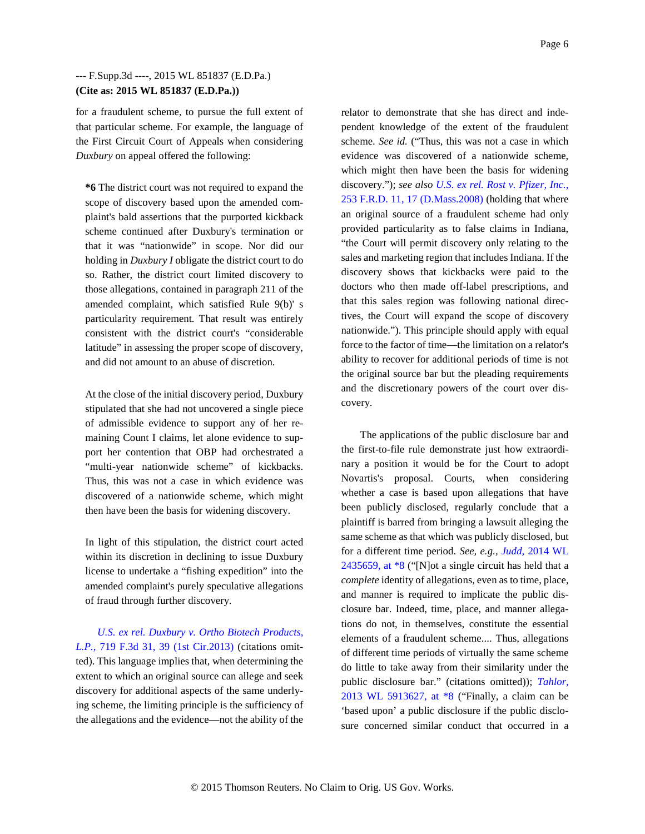for a fraudulent scheme, to pursue the full extent of that particular scheme. For example, the language of the First Circuit Court of Appeals when considering *Duxbury* on appeal offered the following:

**\*6** The district court was not required to expand the scope of discovery based upon the amended complaint's bald assertions that the purported kickback scheme continued after Duxbury's termination or that it was "nationwide" in scope. Nor did our holding in *Duxbury I* obligate the district court to do so. Rather, the district court limited discovery to those allegations, contained in paragraph 211 of the amended complaint, which satisfied Rule 9(b)' s particularity requirement. That result was entirely consistent with the district court's "considerable latitude" in assessing the proper scope of discovery, and did not amount to an abuse of discretion.

At the close of the initial discovery period, Duxbury stipulated that she had not uncovered a single piece of admissible evidence to support any of her remaining Count I claims, let alone evidence to support her contention that OBP had orchestrated a "multi-year nationwide scheme" of kickbacks. Thus, this was not a case in which evidence was discovered of a nationwide scheme, which might then have been the basis for widening discovery.

In light of this stipulation, the district court acted within its discretion in declining to issue Duxbury license to undertake a "fishing expedition" into the amended complaint's purely speculative allegations of fraud through further discovery.

*U.S. ex rel. Duxbury v. Ortho Biotech Products, L.P.,* 719 F.3d 31, 39 (1st Cir.2013) (citations omitted). This language implies that, when determining the extent to which an original source can allege and seek discovery for additional aspects of the same underlying scheme, the limiting principle is the sufficiency of the allegations and the evidence—not the ability of the

relator to demonstrate that she has direct and independent knowledge of the extent of the fraudulent scheme. *See id.* ("Thus, this was not a case in which evidence was discovered of a nationwide scheme, which might then have been the basis for widening discovery."); *see also U.S. ex rel. Rost v. Pfizer, Inc.,* 253 F.R.D. 11, 17 (D.Mass.2008) (holding that where an original source of a fraudulent scheme had only provided particularity as to false claims in Indiana, "the Court will permit discovery only relating to the sales and marketing region that includes Indiana. If the discovery shows that kickbacks were paid to the doctors who then made off-label prescriptions, and that this sales region was following national directives, the Court will expand the scope of discovery nationwide."). This principle should apply with equal force to the factor of time—the limitation on a relator's ability to recover for additional periods of time is not the original source bar but the pleading requirements and the discretionary powers of the court over discovery.

The applications of the public disclosure bar and the first-to-file rule demonstrate just how extraordinary a position it would be for the Court to adopt Novartis's proposal. Courts, when considering whether a case is based upon allegations that have been publicly disclosed, regularly conclude that a plaintiff is barred from bringing a lawsuit alleging the same scheme as that which was publicly disclosed, but for a different time period. *See, e.g., Judd,* 2014 WL 2435659, at \*8 ("[N]ot a single circuit has held that a *complete* identity of allegations, even as to time, place, and manner is required to implicate the public disclosure bar. Indeed, time, place, and manner allegations do not, in themselves, constitute the essential elements of a fraudulent scheme.... Thus, allegations of different time periods of virtually the same scheme do little to take away from their similarity under the public disclosure bar." (citations omitted)); *Tahlor,* 2013 WL 5913627, at \*8 ("Finally, a claim can be 'based upon' a public disclosure if the public disclosure concerned similar conduct that occurred in a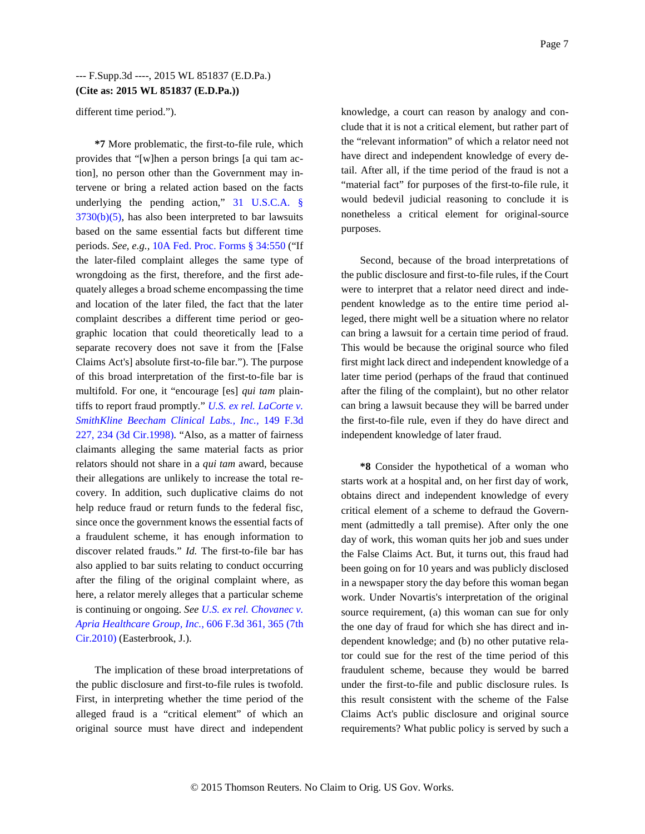different time period.").

**\*7** More problematic, the first-to-file rule, which provides that "[w]hen a person brings [a qui tam action], no person other than the Government may intervene or bring a related action based on the facts underlying the pending action," 31 U.S.C.A. §  $3730(b)(5)$ , has also been interpreted to bar lawsuits based on the same essential facts but different time periods. *See, e.g.,* 10A Fed. Proc. Forms § 34:550 ("If the later-filed complaint alleges the same type of wrongdoing as the first, therefore, and the first adequately alleges a broad scheme encompassing the time and location of the later filed, the fact that the later complaint describes a different time period or geographic location that could theoretically lead to a separate recovery does not save it from the [False Claims Act's] absolute first-to-file bar."). The purpose of this broad interpretation of the first-to-file bar is multifold. For one, it "encourage [es] *qui tam* plaintiffs to report fraud promptly." *U.S. ex rel. LaCorte v. SmithKline Beecham Clinical Labs., Inc.,* 149 F.3d 227, 234 (3d Cir.1998). "Also, as a matter of fairness claimants alleging the same material facts as prior relators should not share in a *qui tam* award, because their allegations are unlikely to increase the total recovery. In addition, such duplicative claims do not help reduce fraud or return funds to the federal fisc, since once the government knows the essential facts of a fraudulent scheme, it has enough information to discover related frauds." *Id.* The first-to-file bar has also applied to bar suits relating to conduct occurring after the filing of the original complaint where, as here, a relator merely alleges that a particular scheme is continuing or ongoing. *See U.S. ex rel. Chovanec v. Apria Healthcare Group, Inc.,* 606 F.3d 361, 365 (7th Cir.2010) (Easterbrook, J.).

The implication of these broad interpretations of the public disclosure and first-to-file rules is twofold. First, in interpreting whether the time period of the alleged fraud is a "critical element" of which an original source must have direct and independent knowledge, a court can reason by analogy and conclude that it is not a critical element, but rather part of the "relevant information" of which a relator need not have direct and independent knowledge of every detail. After all, if the time period of the fraud is not a "material fact" for purposes of the first-to-file rule, it would bedevil judicial reasoning to conclude it is nonetheless a critical element for original-source purposes.

Second, because of the broad interpretations of the public disclosure and first-to-file rules, if the Court were to interpret that a relator need direct and independent knowledge as to the entire time period alleged, there might well be a situation where no relator can bring a lawsuit for a certain time period of fraud. This would be because the original source who filed first might lack direct and independent knowledge of a later time period (perhaps of the fraud that continued after the filing of the complaint), but no other relator can bring a lawsuit because they will be barred under the first-to-file rule, even if they do have direct and independent knowledge of later fraud.

**\*8** Consider the hypothetical of a woman who starts work at a hospital and, on her first day of work, obtains direct and independent knowledge of every critical element of a scheme to defraud the Government (admittedly a tall premise). After only the one day of work, this woman quits her job and sues under the False Claims Act. But, it turns out, this fraud had been going on for 10 years and was publicly disclosed in a newspaper story the day before this woman began work. Under Novartis's interpretation of the original source requirement, (a) this woman can sue for only the one day of fraud for which she has direct and independent knowledge; and (b) no other putative relator could sue for the rest of the time period of this fraudulent scheme, because they would be barred under the first-to-file and public disclosure rules. Is this result consistent with the scheme of the False Claims Act's public disclosure and original source requirements? What public policy is served by such a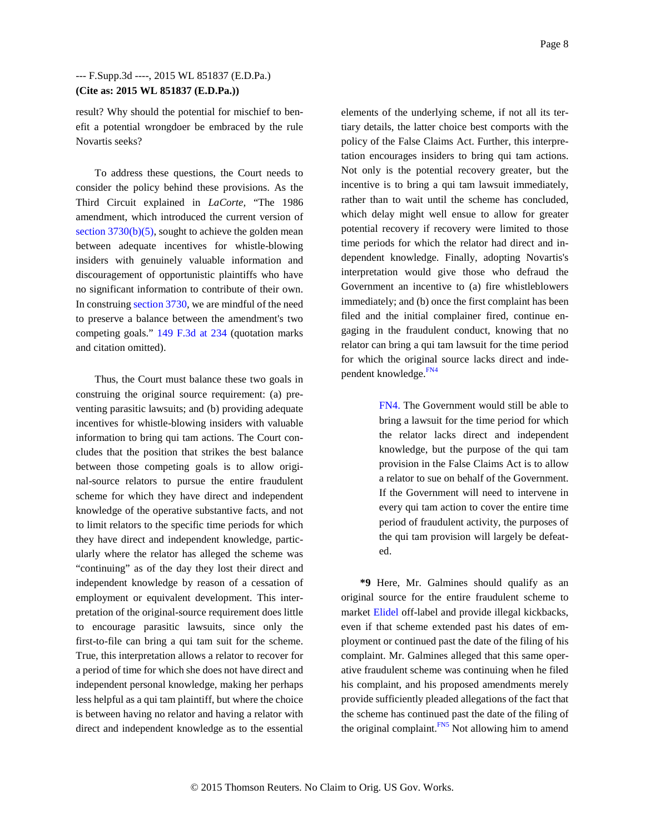result? Why should the potential for mischief to benefit a potential wrongdoer be embraced by the rule Novartis seeks?

To address these questions, the Court needs to consider the policy behind these provisions. As the Third Circuit explained in *LaCorte,* "The 1986 amendment, which introduced the current version of section  $3730(b)(5)$ , sought to achieve the golden mean between adequate incentives for whistle-blowing insiders with genuinely valuable information and discouragement of opportunistic plaintiffs who have no significant information to contribute of their own. In construing section 3730, we are mindful of the need to preserve a balance between the amendment's two competing goals." 149 F.3d at 234 (quotation marks and citation omitted).

Thus, the Court must balance these two goals in construing the original source requirement: (a) preventing parasitic lawsuits; and (b) providing adequate incentives for whistle-blowing insiders with valuable information to bring qui tam actions. The Court concludes that the position that strikes the best balance between those competing goals is to allow original-source relators to pursue the entire fraudulent scheme for which they have direct and independent knowledge of the operative substantive facts, and not to limit relators to the specific time periods for which they have direct and independent knowledge, particularly where the relator has alleged the scheme was "continuing" as of the day they lost their direct and independent knowledge by reason of a cessation of employment or equivalent development. This interpretation of the original-source requirement does little to encourage parasitic lawsuits, since only the first-to-file can bring a qui tam suit for the scheme. True, this interpretation allows a relator to recover for a period of time for which she does not have direct and independent personal knowledge, making her perhaps less helpful as a qui tam plaintiff, but where the choice is between having no relator and having a relator with direct and independent knowledge as to the essential

elements of the underlying scheme, if not all its tertiary details, the latter choice best comports with the policy of the False Claims Act. Further, this interpretation encourages insiders to bring qui tam actions. Not only is the potential recovery greater, but the incentive is to bring a qui tam lawsuit immediately, rather than to wait until the scheme has concluded, which delay might well ensue to allow for greater potential recovery if recovery were limited to those time periods for which the relator had direct and independent knowledge. Finally, adopting Novartis's interpretation would give those who defraud the Government an incentive to (a) fire whistleblowers immediately; and (b) once the first complaint has been filed and the initial complainer fired, continue engaging in the fraudulent conduct, knowing that no relator can bring a qui tam lawsuit for the time period for which the original source lacks direct and independent knowledge.<sup>FN4</sup>

> FN4. The Government would still be able to bring a lawsuit for the time period for which the relator lacks direct and independent knowledge, but the purpose of the qui tam provision in the False Claims Act is to allow a relator to sue on behalf of the Government. If the Government will need to intervene in every qui tam action to cover the entire time period of fraudulent activity, the purposes of the qui tam provision will largely be defeated.

**\*9** Here, Mr. Galmines should qualify as an original source for the entire fraudulent scheme to market Elidel off-label and provide illegal kickbacks, even if that scheme extended past his dates of employment or continued past the date of the filing of his complaint. Mr. Galmines alleged that this same operative fraudulent scheme was continuing when he filed his complaint, and his proposed amendments merely provide sufficiently pleaded allegations of the fact that the scheme has continued past the date of the filing of the original complaint.<sup>FN5</sup> Not allowing him to amend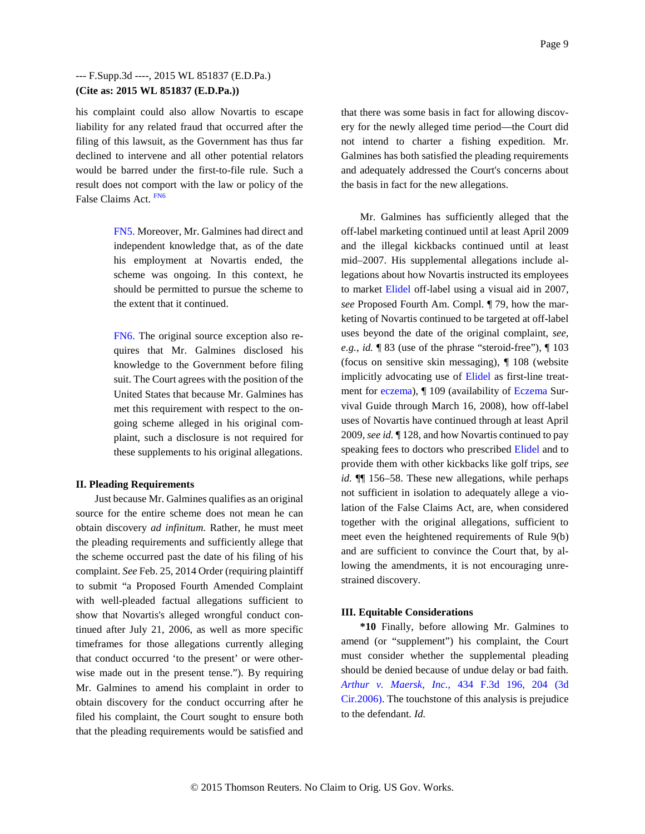his complaint could also allow Novartis to escape liability for any related fraud that occurred after the filing of this lawsuit, as the Government has thus far declined to intervene and all other potential relators would be barred under the first-to-file rule. Such a result does not comport with the law or policy of the False Claims Act. FN6

> FN5. Moreover, Mr. Galmines had direct and independent knowledge that, as of the date his employment at Novartis ended, the scheme was ongoing. In this context, he should be permitted to pursue the scheme to the extent that it continued.

> FN6. The original source exception also requires that Mr. Galmines disclosed his knowledge to the Government before filing suit. The Court agrees with the position of the United States that because Mr. Galmines has met this requirement with respect to the ongoing scheme alleged in his original complaint, such a disclosure is not required for these supplements to his original allegations.

#### **II. Pleading Requirements**

Just because Mr. Galmines qualifies as an original source for the entire scheme does not mean he can obtain discovery *ad infinitum.* Rather, he must meet the pleading requirements and sufficiently allege that the scheme occurred past the date of his filing of his complaint. *See* Feb. 25, 2014 Order (requiring plaintiff to submit "a Proposed Fourth Amended Complaint with well-pleaded factual allegations sufficient to show that Novartis's alleged wrongful conduct continued after July 21, 2006, as well as more specific timeframes for those allegations currently alleging that conduct occurred 'to the present' or were otherwise made out in the present tense."). By requiring Mr. Galmines to amend his complaint in order to obtain discovery for the conduct occurring after he filed his complaint, the Court sought to ensure both that the pleading requirements would be satisfied and

that there was some basis in fact for allowing discovery for the newly alleged time period—the Court did not intend to charter a fishing expedition. Mr. Galmines has both satisfied the pleading requirements and adequately addressed the Court's concerns about the basis in fact for the new allegations.

Mr. Galmines has sufficiently alleged that the off-label marketing continued until at least April 2009 and the illegal kickbacks continued until at least mid–2007. His supplemental allegations include allegations about how Novartis instructed its employees to market Elidel off-label using a visual aid in 2007, *see* Proposed Fourth Am. Compl. ¶ 79, how the marketing of Novartis continued to be targeted at off-label uses beyond the date of the original complaint, *see, e.g., id.* ¶ 83 (use of the phrase "steroid-free"), ¶ 103 (focus on sensitive skin messaging), ¶ 108 (website implicitly advocating use of Elidel as first-line treatment for eczema), ¶ 109 (availability of Eczema Survival Guide through March 16, 2008), how off-label uses of Novartis have continued through at least April 2009, *see id.* ¶ 128, and how Novartis continued to pay speaking fees to doctors who prescribed Elidel and to provide them with other kickbacks like golf trips, *see id.*  $\P$  156–58. These new allegations, while perhaps not sufficient in isolation to adequately allege a violation of the False Claims Act, are, when considered together with the original allegations, sufficient to meet even the heightened requirements of Rule 9(b) and are sufficient to convince the Court that, by allowing the amendments, it is not encouraging unrestrained discovery.

#### **III. Equitable Considerations**

**\*10** Finally, before allowing Mr. Galmines to amend (or "supplement") his complaint, the Court must consider whether the supplemental pleading should be denied because of undue delay or bad faith. *Arthur v. Maersk, Inc.,* 434 F.3d 196, 204 (3d Cir.2006). The touchstone of this analysis is prejudice to the defendant. *Id.*